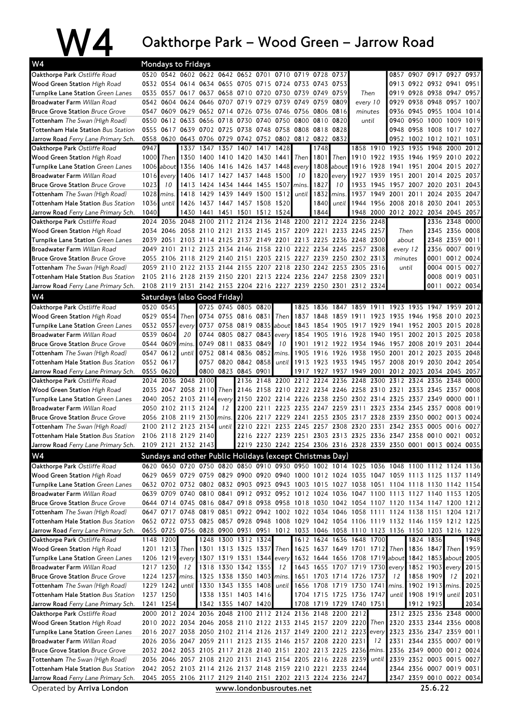|                                                                                 |              |                 | Oakthorpe Park – Wood Green – Jarrow Road                                                                                                                                                |                               |      |                           |                |                          |           |                |              |                                                                  |                |                                |                          |                              |                                  |                                                                     |
|---------------------------------------------------------------------------------|--------------|-----------------|------------------------------------------------------------------------------------------------------------------------------------------------------------------------------------------|-------------------------------|------|---------------------------|----------------|--------------------------|-----------|----------------|--------------|------------------------------------------------------------------|----------------|--------------------------------|--------------------------|------------------------------|----------------------------------|---------------------------------------------------------------------|
| W4                                                                              |              |                 | <b>Mondays to Fridays</b>                                                                                                                                                                |                               |      |                           |                |                          |           |                |              |                                                                  |                |                                |                          |                              |                                  |                                                                     |
| Oakthorpe Park Ostliffe Road                                                    |              |                 | 0520 0542 0602 0622 0642 0652 0701 0710 0719 0728 0737                                                                                                                                   |                               |      |                           |                |                          |           |                |              |                                                                  |                |                                | 0857 0907 0917 0927 0937 |                              |                                  |                                                                     |
| Wood Green Station High Road                                                    |              |                 | 0532 0554 0614 0634 0655 0705 0715 0724 0733 0743 0753                                                                                                                                   |                               |      |                           |                |                          |           |                |              |                                                                  |                |                                | 0913 0922 0932 0941 0951 |                              |                                  |                                                                     |
| <b>Turnpike Lane Station</b> Green Lanes                                        |              |                 | 0535 0557 0617 0637 0658 0710 0720 0730 0739 0749 0759                                                                                                                                   |                               |      |                           |                |                          |           |                |              | Then                                                             |                |                                | 0919 0928 0938 0947 0957 |                              |                                  |                                                                     |
| <b>Broadwater Farm Willan Road</b>                                              |              |                 | 0542 0604 0624 0646 0707 0719 0729 0739 0749 0759 0809                                                                                                                                   |                               |      |                           |                |                          |           |                |              | every 10                                                         |                | 0929                           |                          | 0938 0948 0957 1007          |                                  |                                                                     |
| <b>Bruce Grove Station Bruce Grove</b>                                          |              |                 | 0547 0609 0629 0652 0714 0726 0736 0746 0756 0806 0816                                                                                                                                   |                               |      |                           |                |                          |           |                |              | minutes                                                          |                |                                | 0936 0945 0955 1004 1014 |                              |                                  |                                                                     |
| <b>Tottenham</b> The Swan (High Road)                                           |              |                 | 0550 0612 0633 0656 0718 0730 0740 0750 0800                                                                                                                                             |                               |      |                           |                |                          |           | 0810           | 0820         |                                                                  | until          |                                | 0940 0950 1000 1009 1019 |                              |                                  |                                                                     |
| Tottenham Hale Station Bus Station                                              |              |                 | 0555 0617 0639 0702 0725 0738 0748 0758 0808                                                                                                                                             |                               |      |                           |                |                          |           | 0818 0828      |              |                                                                  |                |                                | 0948 0958 1008 1017 1027 |                              |                                  |                                                                     |
| <b>Jarrow Road</b> Ferry Lane Primary Sch.<br>Oakthorpe Park Ostliffe Road      | 0947         |                 | 0558 0620 0643 0706 0729 0742 0752 0802 0812 0822 0832<br>1337                                                                                                                           |                               |      | 1347 1357 1407 1417       |                | 1428                     |           | 1748           |              |                                                                  |                | 1858 1910 1923                 | 0952 1002 1012 1021 1031 | 1935 1948 2000               |                                  | 2012                                                                |
| <b>Wood Green Station High Road</b>                                             |              | 1000 Then       |                                                                                                                                                                                          | 1350 1400                     | 1410 |                           | 1420 1430 1441 |                          |           | Then   1801    | Then         |                                                                  | 1910 1922 1935 |                                |                          | 1946 1959 2010               |                                  | 2022                                                                |
| Turnpike Lane Station Green Lanes                                               |              |                 | 1006 about 1356 1406 1416 1426 1437 1448                                                                                                                                                 |                               |      |                           |                |                          | every     |                | $1808$ about | 1916                                                             | 1928           | 1941                           | 1951                     |                              | 2004 2015 2027                   |                                                                     |
| <b>Broadwater Farm Willan Road</b>                                              |              | $1016$ every    |                                                                                                                                                                                          | 1406 1417 1427 1437 1448 1500 |      |                           |                |                          | 10        | 1820           | every        | 1927                                                             | 1939           | 1951                           | 2001                     |                              | 2014 2025                        | 2037                                                                |
| <b>Bruce Grove Station Bruce Grove</b>                                          | 1023         | 10              |                                                                                                                                                                                          | 1413 1424 1434 1444 1455 1507 |      |                           |                |                          | mins.     | 1827           | 10           |                                                                  | 1933 1945      | 1957 2007 2020 2031 2043       |                          |                              |                                  |                                                                     |
| <b>Tottenham</b> The Swan (High Road)                                           | $1028$ mins. |                 |                                                                                                                                                                                          | 1418 1429 1439 1449 1500 1512 |      |                           |                |                          | until l   | $1832$ mins.   |              | 1937                                                             | 1949           | 2001                           | 2011                     |                              | 2024 2035                        | 2047                                                                |
| Tottenham Hale Station Bus Station                                              | 1036         | until           |                                                                                                                                                                                          | 1426 1437 1447 1457 1508 1520 |      |                           |                |                          |           | 1840           | until        |                                                                  | 1944 1956      | 2008                           | 2018 2030 2041           |                              |                                  | 2053                                                                |
| Jarrow Road Ferry Lane Primary Sch.                                             | 1040         |                 |                                                                                                                                                                                          | 1430 1441 1451 1501           |      |                           |                | 1512 1524                |           | 1844           |              |                                                                  | 1948 2000      | 2012 2022 2034 2045 2057       |                          |                              |                                  |                                                                     |
| Oakthorpe Park Ostliffe Road                                                    |              |                 | 2024 2036 2048 2100 2112                                                                                                                                                                 |                               |      | 2124                      | 2136           |                          | 2148 2200 |                |              | 2212 2224 2236 2248                                              |                |                                |                          |                              | 2336 2348                        | 0000                                                                |
| Wood Green Station High Road                                                    |              | 2034 2046       |                                                                                                                                                                                          | 2058 2110 2121                |      |                           |                | 2133 2145 2157 2209 2221 |           |                |              | 2233 2245 2257                                                   |                |                                | Then                     |                              | 2345 2356 0008                   |                                                                     |
| <b>Turnpike Lane Station</b> Green Lanes                                        |              | 2039 2051       |                                                                                                                                                                                          |                               |      |                           |                |                          |           |                |              | 2103 2114 2125 2137 2149 2201 2213 2225 2236 2248 2300           |                |                                | about                    |                              | 2348 2359 0011                   |                                                                     |
| <b>Broadwater Farm Willan Road</b>                                              |              | 2049 2101       |                                                                                                                                                                                          |                               |      |                           |                |                          |           |                |              | 2112 2123 2134 2146 2158 2210 2222 2234 2245 2257 2308           |                |                                | every 12                 |                              | 2356 0007 0019                   |                                                                     |
| <b>Bruce Grove Station Bruce Grove</b><br>Tottenham The Swan (High Road)        |              |                 | 2055 2106 2118 2129 2140 2151 2203 2215 2227 2239 2250 2302 2313<br>2059 2110 2122 2133 2144 2155 2207 2218 2230 2242 2253 2305 2316                                                     |                               |      |                           |                |                          |           |                |              |                                                                  |                |                                | minutes<br>until         |                              | 0001 0012 0024<br>0004 0015 0027 |                                                                     |
| <b>Tottenham Hale Station Bus Station</b>                                       |              |                 | 2105 2116 2128 2139 2150 2201 2213 2224 2236 2247 2258 2309 2321                                                                                                                         |                               |      |                           |                |                          |           |                |              |                                                                  |                |                                |                          |                              | 0008 0019 0031                   |                                                                     |
| Jarrow Road Ferry Lane Primary Sch.                                             |              |                 | 2108 2119 2131 2142 2153 2204 2216 2227 2239 2250 2301 2312 2324                                                                                                                         |                               |      |                           |                |                          |           |                |              |                                                                  |                |                                |                          |                              | 0011 0022 0034                   |                                                                     |
| W4                                                                              |              |                 | Saturdays (also Good Friday)                                                                                                                                                             |                               |      |                           |                |                          |           |                |              |                                                                  |                |                                |                          |                              |                                  |                                                                     |
| Oakthorpe Park Ostliffe Road                                                    |              | 0520 0545       |                                                                                                                                                                                          |                               |      | 0725 0745 0805 0820       |                |                          |           |                |              | 1825 1836 1847 1859 1911 1923                                    |                |                                |                          | 1935 1947 1959 2012          |                                  |                                                                     |
| <b>Wood Green Station High Road</b>                                             |              | 0529 0554       | Then                                                                                                                                                                                     | 0734 0755 0816 0831           |      |                           |                | Then I                   |           |                |              | 1837 1848 1859 1911 1923                                         |                | 1935                           | 1946 1958 2010           |                              |                                  | 2023                                                                |
| Turnpike Lane Station Green Lanes                                               | 0532 0557    |                 | every                                                                                                                                                                                    |                               |      | 0737 0758 0819 0835 about |                |                          |           |                |              | 1843 1854 1905 1917 1929 1941                                    |                |                                |                          | 1952 2003 2015 2028          |                                  |                                                                     |
| <b>Broadwater Farm Willan Road</b>                                              |              | 0539 0604       | 20                                                                                                                                                                                       |                               |      | 0744 0805 0827 0843       |                | every                    | 1854      |                |              | 1905 1916 1928 1940 1951                                         |                |                                |                          | 2002 2013 2025               |                                  | 2038                                                                |
| <b>Bruce Grove Station Bruce Grove</b>                                          |              | 0544 0609 mins  |                                                                                                                                                                                          |                               |      | 0749 0811 0833 0849       |                | 10                       | 1901      |                |              | 1912 1922 1934 1946 1957                                         |                |                                |                          | 2008 2019 2031               |                                  | 2044                                                                |
| <b>Tottenham</b> The Swan (High Road)                                           |              | 0547 0612       | until                                                                                                                                                                                    |                               |      | 0752 0814 0836 0852 mins. |                |                          | 1905      | 1916 1926 1938 |              |                                                                  | 1950           | 2001                           |                          | 2012 2023 2035               |                                  | 2048                                                                |
| <b>Tottenham Hale Station Bus Station</b>                                       |              | 0552 0617       |                                                                                                                                                                                          |                               |      | 0757 0820 0842 0858       |                | until                    |           |                |              | 1913 1923 1933 1945 1957 2008 2019 2030 2042 2054                |                |                                |                          |                              |                                  |                                                                     |
| <b>Jarrow Road</b> Ferry Lane Primary Sch.                                      |              | 0555 0620       |                                                                                                                                                                                          |                               |      | 0800 0823 0845 0901       |                |                          |           |                |              | 1917 1927 1937 1949 2001 2012 2023 2034 2045 2057                |                |                                |                          |                              |                                  |                                                                     |
| Oakthorpe Park Ostliffe Road                                                    |              | 2024 2036       |                                                                                                                                                                                          | 2048 2100                     |      | 2136                      |                | 2148 2200                |           | 2212 2224      |              | 2236 2248                                                        | 2300           | 2312                           |                          | 2324 2336 2348               |                                  | 0000                                                                |
| <b>Wood Green Station High Road</b>                                             |              | 2035 2047       |                                                                                                                                                                                          | 2058 2110                     |      |                           |                |                          |           |                |              | Then 2146 2158 2210 2222 2234 2246 2258 2310 2321                |                |                                |                          | 2333 2345 2357 0008          |                                  |                                                                     |
| Turnpike Lane Station Green Lanes                                               |              |                 | 2040 2052 2103 2114 every 2150 2202 2214 2226 2238 2250 2302 2314 2325 2337 2349 0000 0011                                                                                               |                               |      |                           |                |                          |           |                |              |                                                                  |                |                                |                          |                              |                                  |                                                                     |
| <b>Broadwater Farm Willan Road</b>                                              |              |                 | 2050 2102 2113 2124                                                                                                                                                                      |                               |      |                           |                |                          |           |                |              |                                                                  |                |                                |                          |                              |                                  | 12 2200 2211 2223 2235 2247 2259 2311 2323 2334 2345 2357 0008 0019 |
| <b>Bruce Grove Station Bruce Grove</b><br><b>Tottenham</b> The Swan (High Road) |              |                 | 2056 2108 2119 2130 mins. 2206 2217 2229 2241 2253 2305 2317 2328 2339 2350 0002 0013 0024<br>2100 2112 2123 2134 until 2210 2221 2233 2245 2257 2308 2320 2331 2342 2353 0005 0016 0027 |                               |      |                           |                |                          |           |                |              |                                                                  |                |                                |                          |                              |                                  |                                                                     |
| Tottenham Hale Station Bus Station                                              |              |                 | 2106 2118 2129 2140                                                                                                                                                                      |                               |      |                           |                |                          |           |                |              | 2216 2227 2239 2251 2303 2313 2325 2336 2347 2358 0010 0021 0032 |                |                                |                          |                              |                                  |                                                                     |
| Jarrow Road Ferry Lane Primary Sch.                                             |              |                 | 2109 2121 2132 2143                                                                                                                                                                      |                               |      |                           |                |                          |           |                |              | 2219 2230 2242 2254 2306 2316 2328 2339 2350 0001 0013 0024 0035 |                |                                |                          |                              |                                  |                                                                     |
| W4                                                                              |              |                 | Sundays and other Public Holidays (except Christmas Day)                                                                                                                                 |                               |      |                           |                |                          |           |                |              |                                                                  |                |                                |                          |                              |                                  |                                                                     |
| Oakthorpe Park Ostliffe Road                                                    |              |                 | 0620 0650 0720 0750 0820 0850 0910 0930 0950 1002 1014 1025 1036 1048 1100 1112 1124 1136                                                                                                |                               |      |                           |                |                          |           |                |              |                                                                  |                |                                |                          |                              |                                  |                                                                     |
| Wood Green Station High Road                                                    |              |                 | 0629 0659 0729 0759 0829 0900 0920 0940 1000 1012 1024 1035 1047 1059 1113 1125 1137 1149                                                                                                |                               |      |                           |                |                          |           |                |              |                                                                  |                |                                |                          |                              |                                  |                                                                     |
| Turnpike Lane Station Green Lanes                                               |              |                 | 0632 0702 0732 0802 0832 0903 0923 0943 1003 1015 1027 1038 1051 1104 1118 1130 1142 1154                                                                                                |                               |      |                           |                |                          |           |                |              |                                                                  |                |                                |                          |                              |                                  |                                                                     |
| Broadwater Farm Willan Road                                                     |              |                 | 0639 0709 0740 0810 0841 0912 0932 0952 1012 1024 1036 1047 1100 1113 1127 1140 1153 1205                                                                                                |                               |      |                           |                |                          |           |                |              |                                                                  |                |                                |                          |                              |                                  |                                                                     |
| <b>Bruce Grove Station Bruce Grove</b>                                          |              |                 | 0644 0714 0745 0816 0847 0918 0938 0958 1018 1030 1042 1054 1107 1120 1134 1147 1200 1212                                                                                                |                               |      |                           |                |                          |           |                |              |                                                                  |                |                                |                          |                              |                                  |                                                                     |
| <b>Tottenham</b> The Swan (High Road)                                           |              |                 | 0647 0717 0748 0819 0851 0922 0942 1002 1022 1034 1046 1058 1111 1124 1138 1151 1204 1217                                                                                                |                               |      |                           |                |                          |           |                |              |                                                                  |                |                                |                          |                              |                                  |                                                                     |
| Tottenham Hale Station Bus Station                                              |              |                 | 0652 0722 0753 0825 0857 0928 0948 1008 1029 1042 1054 1106 1119 1132 1146 1159 1212 1225                                                                                                |                               |      |                           |                |                          |           |                |              |                                                                  |                |                                |                          |                              |                                  |                                                                     |
| <b>Jarrow Road</b> Ferry Lane Primary Sch.                                      |              |                 | 0655 0725 0756 0828 0900 0931 0951 1012 1033 1046 1058 1110 1123 1136 1150 1203 1216 1229                                                                                                |                               |      |                           |                |                          |           |                |              |                                                                  |                |                                |                          |                              |                                  |                                                                     |
| Oakthorpe Park Ostliffe Road                                                    |              | 1148 1200       |                                                                                                                                                                                          |                               |      | 1248 1300 1312 1324       |                |                          |           |                |              | 1612 1624 1636 1648 1700                                         |                |                                |                          | 1824 1836                    |                                  | 1948                                                                |
| <b>Wood Green Station High Road</b>                                             |              |                 | 1201 1213 Then 1301 1313 1325 1337 Then                                                                                                                                                  |                               |      |                           |                |                          |           |                |              | 1625 1637 1649 1701 1712 Then                                    |                |                                |                          | 1836 1847                    | Then 1959                        |                                                                     |
| Turnpike Lane Station Green Lanes                                               |              |                 | 1206 1219 every                                                                                                                                                                          |                               |      | 1307 1319 1331 1344 every |                |                          |           |                |              | 1632 1644 1656 1708 1719 about                                   |                |                                |                          | 1842 1853 about              |                                  | 2005                                                                |
| Broadwater Farm Willan Road                                                     |              | 1217 1230       | 12                                                                                                                                                                                       |                               |      | 1318 1330 1342 1355       |                | 12                       |           |                |              | 1643 1655 1707 1719 1730 every                                   |                |                                |                          | 1852 1903 every              |                                  | 2015                                                                |
| <b>Bruce Grove Station Bruce Grove</b><br>Tottenham The Swan (High Road)        |              | 1224 1237 mins. | 1229 1242 until 1330 1343 1355 1408 until                                                                                                                                                |                               |      | 1325 1338 1350 1403 mins. |                |                          | 1651      |                |              | 1703 1714 1726 1737<br>1656 1708 1719 1730 1741 mins.            |                | 12                             |                          | 1858 1909<br>1902 1913 mins. | 12                               | 2021<br>2025                                                        |
| <b>Tottenham Hale Station</b> Bus Station                                       |              | 1237 1250       |                                                                                                                                                                                          |                               |      | 1338 1351 1403 1416       |                |                          |           |                |              | 1704 1715 1725 1736 1747                                         |                | until                          |                          | 1908 1919 until              |                                  | 2031                                                                |
| <b>Jarrow Road</b> Ferry Lane Primary Sch.                                      |              | 1241 1254       |                                                                                                                                                                                          |                               |      | 1342 1355 1407 1420       |                |                          |           |                |              | 1708 1719 1729 1740 1751                                         |                |                                | 1912 1923                |                              |                                  | 2034                                                                |
| Oakthorpe Park Ostliffe Road                                                    |              |                 | 2000 2012 2024 2036 2048 2100 2112 2124 2136 2148 2200 2212                                                                                                                              |                               |      |                           |                |                          |           |                |              |                                                                  |                |                                | 2312 2325 2336 2348 0000 |                              |                                  |                                                                     |
| Wood Green Station High Road                                                    |              |                 | 2010 2022 2034 2046 2058 2110 2122 2133 2145 2157 2209 2220                                                                                                                              |                               |      |                           |                |                          |           |                |              |                                                                  |                | Then 2320 2333 2344 2356 0008  |                          |                              |                                  |                                                                     |
| Turnpike Lane Station Green Lanes                                               |              |                 | 2016 2027 2038 2050 2102 2114 2126 2137 2149 2200 2212 2223                                                                                                                              |                               |      |                           |                |                          |           |                |              |                                                                  |                | every 2323 2336 2347 2359 0011 |                          |                              |                                  |                                                                     |
| Broadwater Farm Willan Road                                                     |              |                 | 2026 2036 2047 2059 2111 2123 2135 2146 2157 2208 2220 2231                                                                                                                              |                               |      |                           |                |                          |           |                |              |                                                                  | 12             |                                | 2331 2344 2355 0007 0019 |                              |                                  |                                                                     |
| <b>Bruce Grove Station Bruce Grove</b>                                          |              |                 | 2032 2042 2053 2105 2117 2128 2140 2151 2202 2213 2225 2236                                                                                                                              |                               |      |                           |                |                          |           |                |              |                                                                  | mins.          |                                | 2336 2349 0000 0012 0024 |                              |                                  |                                                                     |
| Tottenham The Swan (High Road)                                                  |              |                 | 2036 2046 2057 2108 2120 2131 2143 2154 2205 2216 2228 2239                                                                                                                              |                               |      |                           |                |                          |           |                |              |                                                                  |                | until 2339 2352 0003 0015 0027 |                          |                              |                                  |                                                                     |
| Tottenham Hale Station Bus Station                                              |              |                 | 2042 2052 2103 2114 2126 2137 2148 2159 2210 2221 2233 2244                                                                                                                              |                               |      |                           |                |                          |           |                |              |                                                                  |                |                                | 2344 2356 0007 0019 0031 |                              |                                  |                                                                     |
| Jarrow Road Ferry Lane Primary Sch.                                             |              |                 | 2045 2055 2106 2117 2129 2140 2151 2202 2213 2224 2236 2247                                                                                                                              |                               |      |                           |                |                          |           |                |              |                                                                  |                |                                | 2347 2359 0010 0022 0034 |                              |                                  |                                                                     |
| Operated by Arriva London                                                       |              |                 |                                                                                                                                                                                          |                               |      |                           |                | www.londonbusroutes.net  |           |                |              |                                                                  |                |                                |                          | 25.6.22                      |                                  |                                                                     |